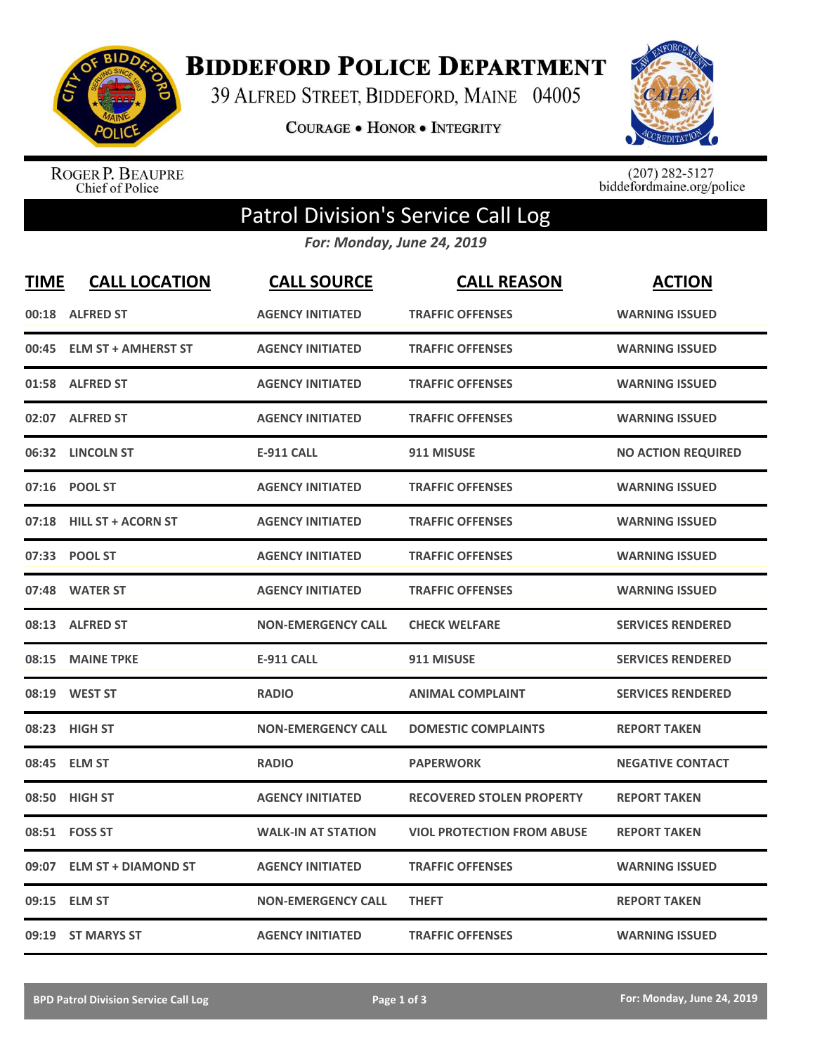

**BIDDEFORD POLICE DEPARTMENT** 

39 ALFRED STREET, BIDDEFORD, MAINE 04005

**COURAGE . HONOR . INTEGRITY** 



ROGER P. BEAUPRE<br>Chief of Police

 $(207)$  282-5127<br>biddefordmaine.org/police

## Patrol Division's Service Call Log

*For: Monday, June 24, 2019*

| <b>TIME</b> | <b>CALL LOCATION</b>       | <b>CALL SOURCE</b>        | <b>CALL REASON</b>                | <b>ACTION</b>             |
|-------------|----------------------------|---------------------------|-----------------------------------|---------------------------|
|             | 00:18 ALFRED ST            | <b>AGENCY INITIATED</b>   | <b>TRAFFIC OFFENSES</b>           | <b>WARNING ISSUED</b>     |
| 00:45       | <b>ELM ST + AMHERST ST</b> | <b>AGENCY INITIATED</b>   | <b>TRAFFIC OFFENSES</b>           | <b>WARNING ISSUED</b>     |
| 01:58       | <b>ALFRED ST</b>           | <b>AGENCY INITIATED</b>   | <b>TRAFFIC OFFENSES</b>           | <b>WARNING ISSUED</b>     |
| 02:07       | <b>ALFRED ST</b>           | <b>AGENCY INITIATED</b>   | <b>TRAFFIC OFFENSES</b>           | <b>WARNING ISSUED</b>     |
| 06:32       | <b>LINCOLN ST</b>          | <b>E-911 CALL</b>         | 911 MISUSE                        | <b>NO ACTION REQUIRED</b> |
|             | 07:16 POOL ST              | <b>AGENCY INITIATED</b>   | <b>TRAFFIC OFFENSES</b>           | <b>WARNING ISSUED</b>     |
| 07:18       | <b>HILL ST + ACORN ST</b>  | <b>AGENCY INITIATED</b>   | <b>TRAFFIC OFFENSES</b>           | <b>WARNING ISSUED</b>     |
|             | 07:33 POOL ST              | <b>AGENCY INITIATED</b>   | <b>TRAFFIC OFFENSES</b>           | <b>WARNING ISSUED</b>     |
| 07:48       | <b>WATER ST</b>            | <b>AGENCY INITIATED</b>   | <b>TRAFFIC OFFENSES</b>           | <b>WARNING ISSUED</b>     |
| 08:13       | <b>ALFRED ST</b>           | <b>NON-EMERGENCY CALL</b> | <b>CHECK WELFARE</b>              | <b>SERVICES RENDERED</b>  |
|             | 08:15 MAINE TPKE           | <b>E-911 CALL</b>         | 911 MISUSE                        | <b>SERVICES RENDERED</b>  |
| 08:19       | <b>WEST ST</b>             | <b>RADIO</b>              | <b>ANIMAL COMPLAINT</b>           | <b>SERVICES RENDERED</b>  |
| 08:23       | <b>HIGH ST</b>             | <b>NON-EMERGENCY CALL</b> | <b>DOMESTIC COMPLAINTS</b>        | <b>REPORT TAKEN</b>       |
| 08:45       | <b>ELM ST</b>              | <b>RADIO</b>              | <b>PAPERWORK</b>                  | <b>NEGATIVE CONTACT</b>   |
| 08:50       | <b>HIGH ST</b>             | <b>AGENCY INITIATED</b>   | <b>RECOVERED STOLEN PROPERTY</b>  | <b>REPORT TAKEN</b>       |
| 08:51       | <b>FOSS ST</b>             | <b>WALK-IN AT STATION</b> | <b>VIOL PROTECTION FROM ABUSE</b> | <b>REPORT TAKEN</b>       |
| 09:07       | <b>ELM ST + DIAMOND ST</b> | <b>AGENCY INITIATED</b>   | <b>TRAFFIC OFFENSES</b>           | <b>WARNING ISSUED</b>     |
| 09:15       | <b>ELM ST</b>              | <b>NON-EMERGENCY CALL</b> | <b>THEFT</b>                      | <b>REPORT TAKEN</b>       |
|             | 09:19 ST MARYS ST          | <b>AGENCY INITIATED</b>   | <b>TRAFFIC OFFENSES</b>           | <b>WARNING ISSUED</b>     |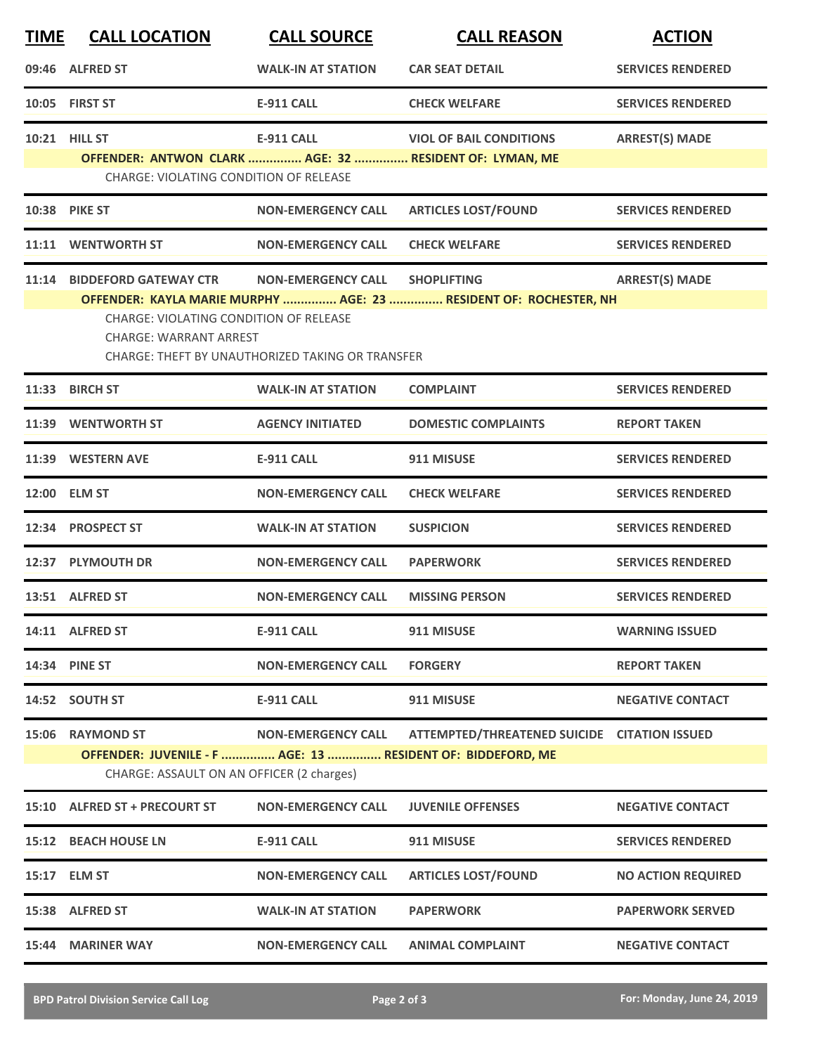| <b>TIME</b> | <b>CALL LOCATION</b>                                                                                     | <b>CALL SOURCE</b>                                      | <b>CALL REASON</b>                                                | <b>ACTION</b>             |  |  |
|-------------|----------------------------------------------------------------------------------------------------------|---------------------------------------------------------|-------------------------------------------------------------------|---------------------------|--|--|
|             | 09:46 ALFRED ST                                                                                          | <b>WALK-IN AT STATION</b>                               | <b>CAR SEAT DETAIL</b>                                            | <b>SERVICES RENDERED</b>  |  |  |
|             | 10:05 FIRST ST                                                                                           | <b>E-911 CALL</b>                                       | <b>CHECK WELFARE</b>                                              | <b>SERVICES RENDERED</b>  |  |  |
|             | <b>10:21 HILL ST</b>                                                                                     | <b>E-911 CALL</b>                                       | <b>VIOL OF BAIL CONDITIONS</b>                                    | <b>ARREST(S) MADE</b>     |  |  |
|             | OFFENDER: ANTWON CLARK  AGE: 32  RESIDENT OF: LYMAN, ME<br>CHARGE: VIOLATING CONDITION OF RELEASE        |                                                         |                                                                   |                           |  |  |
|             | 10:38 PIKE ST                                                                                            | <b>NON-EMERGENCY CALL</b>                               | <b>ARTICLES LOST/FOUND</b>                                        | <b>SERVICES RENDERED</b>  |  |  |
|             | 11:11 WENTWORTH ST                                                                                       | <b>NON-EMERGENCY CALL</b>                               | <b>CHECK WELFARE</b>                                              | <b>SERVICES RENDERED</b>  |  |  |
| 11:14       | <b>BIDDEFORD GATEWAY CTR</b>                                                                             | <b>NON-EMERGENCY CALL</b>                               | <b>SHOPLIFTING</b>                                                | <b>ARREST(S) MADE</b>     |  |  |
|             | <b>CHARGE: VIOLATING CONDITION OF RELEASE</b><br><b>CHARGE: WARRANT ARREST</b>                           | <b>CHARGE: THEFT BY UNAUTHORIZED TAKING OR TRANSFER</b> | OFFENDER: KAYLA MARIE MURPHY  AGE: 23  RESIDENT OF: ROCHESTER, NH |                           |  |  |
|             | 11:33 BIRCH ST                                                                                           | <b>WALK-IN AT STATION</b>                               | <b>COMPLAINT</b>                                                  | <b>SERVICES RENDERED</b>  |  |  |
|             | 11:39 WENTWORTH ST                                                                                       | <b>AGENCY INITIATED</b>                                 | <b>DOMESTIC COMPLAINTS</b>                                        | <b>REPORT TAKEN</b>       |  |  |
|             | 11:39 WESTERN AVE                                                                                        | <b>E-911 CALL</b>                                       | 911 MISUSE                                                        | <b>SERVICES RENDERED</b>  |  |  |
|             | 12:00 ELM ST                                                                                             | <b>NON-EMERGENCY CALL</b>                               | <b>CHECK WELFARE</b>                                              | <b>SERVICES RENDERED</b>  |  |  |
|             | 12:34 PROSPECT ST                                                                                        | <b>WALK-IN AT STATION</b>                               | <b>SUSPICION</b>                                                  | <b>SERVICES RENDERED</b>  |  |  |
|             | 12:37 PLYMOUTH DR                                                                                        | <b>NON-EMERGENCY CALL</b>                               | <b>PAPERWORK</b>                                                  | <b>SERVICES RENDERED</b>  |  |  |
|             | 13:51 ALFRED ST                                                                                          | <b>NON-EMERGENCY CALL</b>                               | <b>MISSING PERSON</b>                                             | <b>SERVICES RENDERED</b>  |  |  |
|             | 14:11 ALFRED ST                                                                                          | <b>E-911 CALL</b>                                       | 911 MISUSE                                                        | <b>WARNING ISSUED</b>     |  |  |
|             | 14:34 PINE ST                                                                                            | <b>NON-EMERGENCY CALL</b>                               | <b>FORGERY</b>                                                    | <b>REPORT TAKEN</b>       |  |  |
|             | 14:52 SOUTH ST                                                                                           | <b>E-911 CALL</b>                                       | 911 MISUSE                                                        | <b>NEGATIVE CONTACT</b>   |  |  |
| 15:06       | <b>RAYMOND ST</b>                                                                                        | <b>NON-EMERGENCY CALL</b>                               | ATTEMPTED/THREATENED SUICIDE CITATION ISSUED                      |                           |  |  |
|             | OFFENDER: JUVENILE - F  AGE: 13  RESIDENT OF: BIDDEFORD, ME<br>CHARGE: ASSAULT ON AN OFFICER (2 charges) |                                                         |                                                                   |                           |  |  |
|             | 15:10 ALFRED ST + PRECOURT ST                                                                            | <b>NON-EMERGENCY CALL</b>                               | <b>JUVENILE OFFENSES</b>                                          | <b>NEGATIVE CONTACT</b>   |  |  |
|             | 15:12 BEACH HOUSE LN                                                                                     | <b>E-911 CALL</b>                                       | 911 MISUSE                                                        | <b>SERVICES RENDERED</b>  |  |  |
|             | 15:17 ELM ST                                                                                             | <b>NON-EMERGENCY CALL</b>                               | <b>ARTICLES LOST/FOUND</b>                                        | <b>NO ACTION REQUIRED</b> |  |  |
|             | 15:38 ALFRED ST                                                                                          | <b>WALK-IN AT STATION</b>                               | <b>PAPERWORK</b>                                                  | <b>PAPERWORK SERVED</b>   |  |  |
|             | 15:44 MARINER WAY                                                                                        | <b>NON-EMERGENCY CALL</b>                               | <b>ANIMAL COMPLAINT</b>                                           | <b>NEGATIVE CONTACT</b>   |  |  |
|             |                                                                                                          |                                                         |                                                                   |                           |  |  |